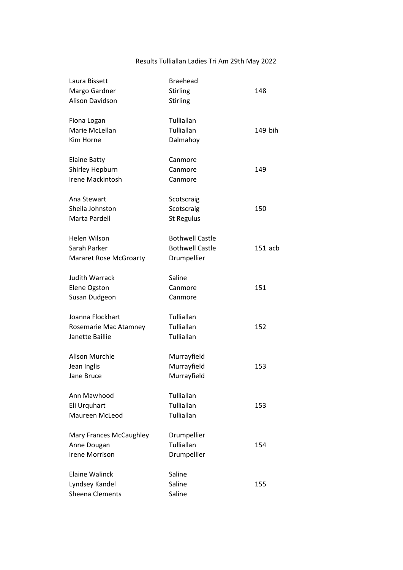## Results Tulliallan Ladies Tri Am 29th May 2022

| Laura Bissett                 | <b>Braehead</b>        |           |
|-------------------------------|------------------------|-----------|
| Margo Gardner                 | Stirling               | 148       |
| <b>Alison Davidson</b>        | Stirling               |           |
| Fiona Logan                   | Tulliallan             |           |
| Marie McLellan                | Tulliallan             | 149 bih   |
| Kim Horne                     | Dalmahoy               |           |
| <b>Elaine Batty</b>           | Canmore                |           |
| Shirley Hepburn               | Canmore                | 149       |
| Irene Mackintosh              | Canmore                |           |
| Ana Stewart                   | Scotscraig             |           |
| Sheila Johnston               | Scotscraig             | 150       |
| Marta Pardell                 | <b>St Regulus</b>      |           |
| Helen Wilson                  | <b>Bothwell Castle</b> |           |
| Sarah Parker                  | <b>Bothwell Castle</b> | $151$ acb |
| <b>Mararet Rose McGroarty</b> | Drumpellier            |           |
| <b>Judith Warrack</b>         | Saline                 |           |
| Elene Ogston                  | Canmore                | 151       |
| Susan Dudgeon                 | Canmore                |           |
| Joanna Flockhart              | Tulliallan             |           |
| Rosemarie Mac Atamney         | Tulliallan             | 152       |
| Janette Baillie               | Tulliallan             |           |
| Alison Murchie                | Murrayfield            |           |
| Jean Inglis                   | Murrayfield            | 153       |
| Jane Bruce                    | Murrayfield            |           |
| Ann Mawhood                   | Tulliallan             |           |
| Eli Urquhart                  | Tulliallan             | 153       |
| Maureen McLeod                | Tulliallan             |           |
| Mary Frances McCaughley       | Drumpellier            |           |
| Anne Dougan                   | Tulliallan             | 154       |
| <b>Irene Morrison</b>         | Drumpellier            |           |
| Elaine Walinck                | Saline                 |           |
| Lyndsey Kandel                | Saline                 | 155       |
| Sheena Clements               | Saline                 |           |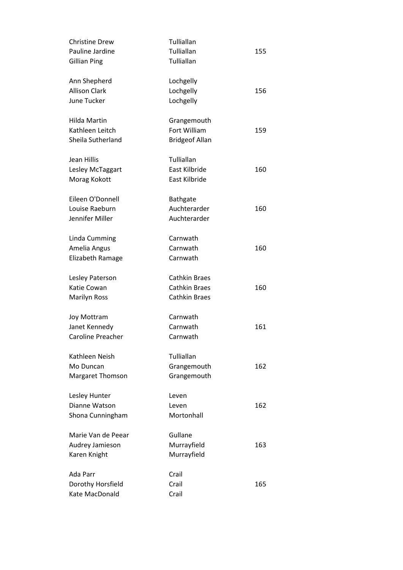| <b>Christine Drew</b>   | Tulliallan            |     |
|-------------------------|-----------------------|-----|
| Pauline Jardine         | Tulliallan            | 155 |
| <b>Gillian Ping</b>     | Tulliallan            |     |
| Ann Shepherd            | Lochgelly             |     |
| <b>Allison Clark</b>    | Lochgelly             | 156 |
| June Tucker             | Lochgelly             |     |
| Hilda Martin            | Grangemouth           |     |
| Kathleen Leitch         | Fort William          | 159 |
| Sheila Sutherland       | <b>Bridgeof Allan</b> |     |
| Jean Hillis             | Tulliallan            |     |
| Lesley McTaggart        | East Kilbride         | 160 |
| Morag Kokott            | East Kilbride         |     |
| Eileen O'Donnell        | <b>Bathgate</b>       |     |
| Louise Raeburn          | Auchterarder          | 160 |
| Jennifer Miller         | Auchterarder          |     |
| Linda Cumming           | Carnwath              |     |
| Amelia Angus            | Carnwath              | 160 |
| Elizabeth Ramage        | Carnwath              |     |
| Lesley Paterson         | <b>Cathkin Braes</b>  |     |
| Katie Cowan             | <b>Cathkin Braes</b>  | 160 |
| <b>Marilyn Ross</b>     | <b>Cathkin Braes</b>  |     |
| <b>Joy Mottram</b>      | Carnwath              |     |
| Janet Kennedy           | Carnwath              | 161 |
| Caroline Preacher       | Carnwath              |     |
| Kathleen Neish          | Tulliallan            |     |
| Mo Duncan               | Grangemouth           | 162 |
| <b>Margaret Thomson</b> | Grangemouth           |     |
| Lesley Hunter           | Leven                 |     |
| Dianne Watson           | Leven                 | 162 |
| Shona Cunningham        | Mortonhall            |     |
| Marie Van de Peear      | Gullane               |     |
| Audrey Jamieson         | Murrayfield           | 163 |
| Karen Knight            | Murrayfield           |     |
| Ada Parr                | Crail                 |     |
| Dorothy Horsfield       | Crail                 | 165 |
| Kate MacDonald          | Crail                 |     |